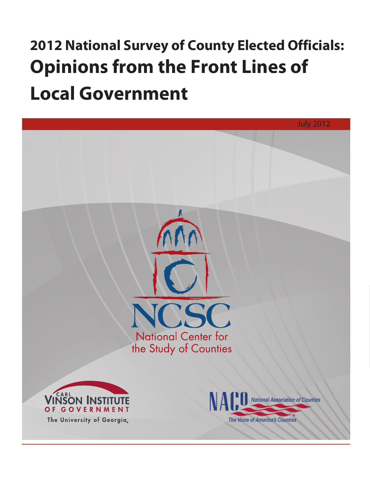# **2012 National Survey of County Elected Officials: Opinions from the Front Lines of Local Government**

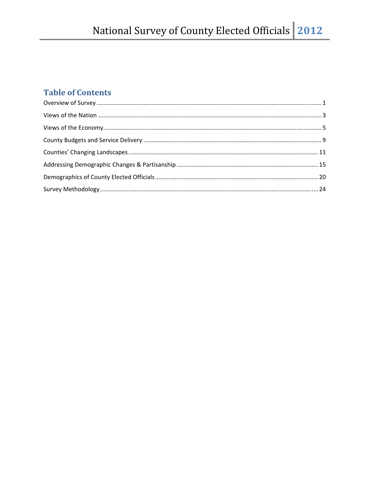## **Table of Contents**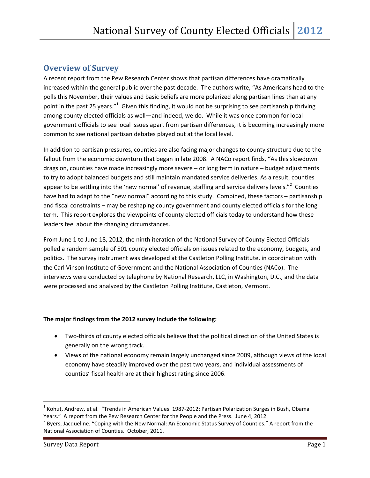## **Overview of Survey**

A recent report from the Pew Research Center shows that partisan differences have dramatically increased within the general public over the past decade. The authors write, "As Americans head to the polls this November, their values and basic beliefs are more polarized along partisan lines than at any point in the past 25 years."<sup>1</sup> Given this finding, it would not be surprising to see partisanship thriving among county elected officials as well—and indeed, we do. While it was once common for local government officials to see local issues apart from partisan differences, it is becoming increasingly more common to see national partisan debates played out at the local level.

In addition to partisan pressures, counties are also facing major changes to county structure due to the fallout from the economic downturn that began in late 2008. A NACo report finds, "As this slowdown drags on, counties have made increasingly more severe – or long term in nature – budget adjustments to try to adopt balanced budgets and still maintain mandated service deliveries. As a result, counties appear to be settling into the 'new normal' of revenue, staffing and service delivery levels."<sup>2</sup> Counties have had to adapt to the "new normal" according to this study. Combined, these factors – partisanship and fiscal constraints – may be reshaping county government and county elected officials for the long term. This report explores the viewpoints of county elected officials today to understand how these leaders feel about the changing circumstances.

From June 1 to June 18, 2012, the ninth iteration of the National Survey of County Elected Officials polled a random sample of 501 county elected officials on issues related to the economy, budgets, and politics. The survey instrument was developed at the Castleton Polling Institute, in coordination with the Carl Vinson Institute of Government and the National Association of Counties (NACo). The interviews were conducted by telephone by National Research, LLC, in Washington, D.C., and the data were processed and analyzed by the Castleton Polling Institute, Castleton, Vermont.

#### **The major findings from the 2012 survey include the following:**

- Two-thirds of county elected officials believe that the political direction of the United States is generally on the wrong track.
- Views of the national economy remain largely unchanged since 2009, although views of the local economy have steadily improved over the past two years, and individual assessments of counties' fiscal health are at their highest rating since 2006.

 $1$  Kohut, Andrew, et al. "Trends in American Values: 1987-2012: Partisan Polarization Surges in Bush, Obama

Years." A report from the Pew Research Center for the People and the Press. June 4, 2012.<br><sup>2</sup> Byers, Jacqueline. "Coping with the New Normal: An Economic Status Survey of Counties." A report from the National Association of Counties. October, 2011.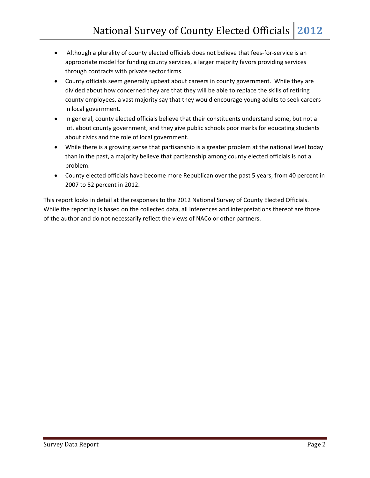- Although a plurality of county elected officials does not believe that fees-for-service is an appropriate model for funding county services, a larger majority favors providing services through contracts with private sector firms.
- County officials seem generally upbeat about careers in county government. While they are divided about how concerned they are that they will be able to replace the skills of retiring county employees, a vast majority say that they would encourage young adults to seek careers in local government.
- In general, county elected officials believe that their constituents understand some, but not a lot, about county government, and they give public schools poor marks for educating students about civics and the role of local government.
- While there is a growing sense that partisanship is a greater problem at the national level today than in the past, a majority believe that partisanship among county elected officials is not a problem.
- County elected officials have become more Republican over the past 5 years, from 40 percent in 2007 to 52 percent in 2012.

This report looks in detail at the responses to the 2012 National Survey of County Elected Officials. While the reporting is based on the collected data, all inferences and interpretations thereof are those of the author and do not necessarily reflect the views of NACo or other partners.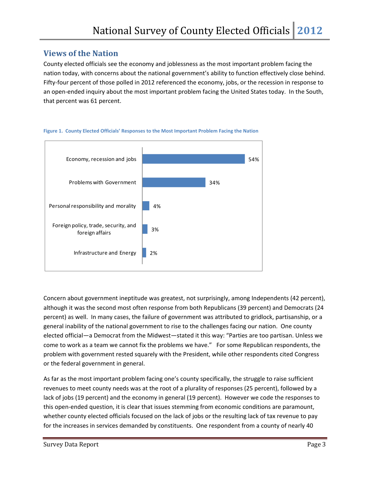## **Views of the Nation**

County elected officials see the economy and joblessness as the most important problem facing the nation today, with concerns about the national government's ability to function effectively close behind. Fifty-four percent of those polled in 2012 referenced the economy, jobs, or the recession in response to an open‐ended inquiry about the most important problem facing the United States today. In the South, that percent was 61 percent.



#### **Figure 1. County Elected Officials' Responses to the Most Important Problem Facing the Nation**

Concern about government ineptitude was greatest, not surprisingly, among Independents (42 percent), although it was the second most often response from both Republicans (39 percent) and Democrats (24 percent) as well. In many cases, the failure of government was attributed to gridlock, partisanship, or a general inability of the national government to rise to the challenges facing our nation. One county elected official—a Democrat from the Midwest—stated it this way: "Parties are too partisan. Unless we come to work as a team we cannot fix the problems we have." For some Republican respondents, the problem with government rested squarely with the President, while other respondents cited Congress or the federal government in general.

As far as the most important problem facing one's county specifically, the struggle to raise sufficient revenues to meet county needs was at the root of a plurality of responses (25 percent), followed by a lack of jobs (19 percent) and the economy in general (19 percent). However we code the responses to this open-ended question, it is clear that issues stemming from economic conditions are paramount, whether county elected officials focused on the lack of jobs or the resulting lack of tax revenue to pay for the increases in services demanded by constituents. One respondent from a county of nearly 40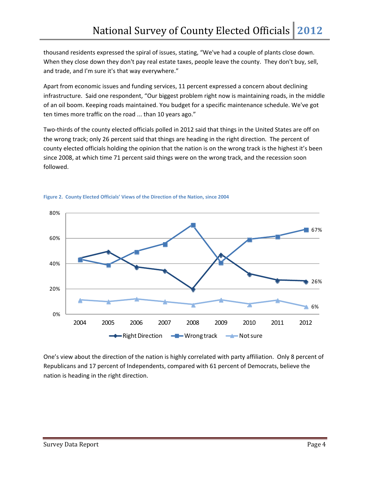thousand residents expressed the spiral of issues, stating, "We've had a couple of plants close down. When they close down they don't pay real estate taxes, people leave the county. They don't buy, sell, and trade, and I'm sure it's that way everywhere."

Apart from economic issues and funding services, 11 percent expressed a concern about declining infrastructure. Said one respondent, "Our biggest problem right now is maintaining roads, in the middle of an oil boom. Keeping roads maintained. You budget for a specific maintenance schedule. We've got ten times more traffic on the road ... than 10 years ago."

Two-thirds of the county elected officials polled in 2012 said that things in the United States are off on the wrong track; only 26 percent said that things are heading in the right direction. The percent of county elected officials holding the opinion that the nation is on the wrong track is the highest it's been since 2008, at which time 71 percent said things were on the wrong track, and the recession soon followed.





One's view about the direction of the nation is highly correlated with party affiliation. Only 8 percent of Republicans and 17 percent of Independents, compared with 61 percent of Democrats, believe the nation is heading in the right direction.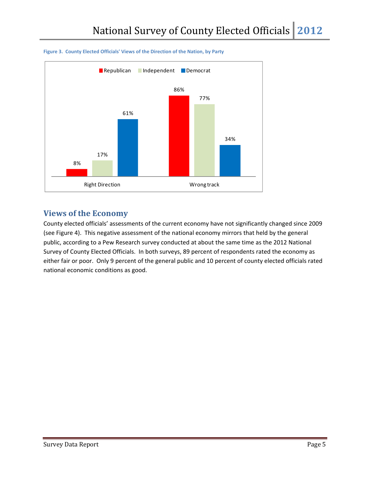

#### **Figure 3. County Elected Officials' Views of the Direction of the Nation, by Party**

### **Views of the Economy**

County elected officials' assessments of the current economy have not significantly changed since 2009 (see Figure 4). This negative assessment of the national economy mirrors that held by the general public, according to a Pew Research survey conducted at about the same time as the 2012 National Survey of County Elected Officials. In both surveys, 89 percent of respondents rated the economy as either fair or poor. Only 9 percent of the general public and 10 percent of county elected officials rated national economic conditions as good.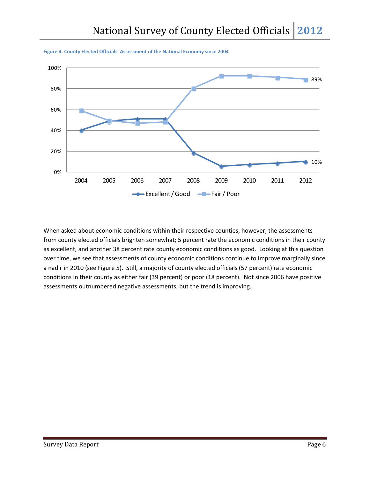



When asked about economic conditions within their respective counties, however, the assessments from county elected officials brighten somewhat; 5 percent rate the economic conditions in their county as excellent, and another 38 percent rate county economic conditions as good. Looking at this question over time, we see that assessments of county economic conditions continue to improve marginally since a nadir in 2010 (see Figure 5). Still, a majority of county elected officials (57 percent) rate economic conditions in their county as either fair (39 percent) or poor (18 percent). Not since 2006 have positive assessments outnumbered negative assessments, but the trend is improving.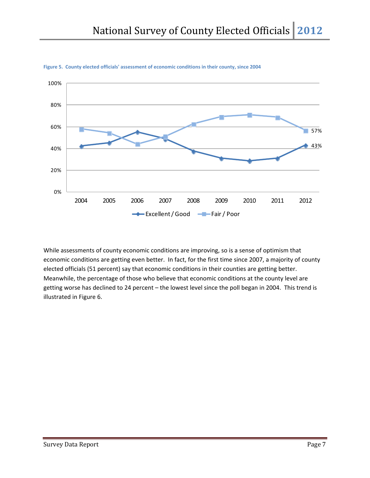

**Figure 5. County elected officials' assessment of economic conditions in their county, since 2004**

While assessments of county economic conditions are improving, so is a sense of optimism that economic conditions are getting even better. In fact, for the first time since 2007, a majority of county elected officials (51 percent) say that economic conditions in their counties are getting better. Meanwhile, the percentage of those who believe that economic conditions at the county level are getting worse has declined to 24 percent – the lowest level since the poll began in 2004. This trend is illustrated in Figure 6.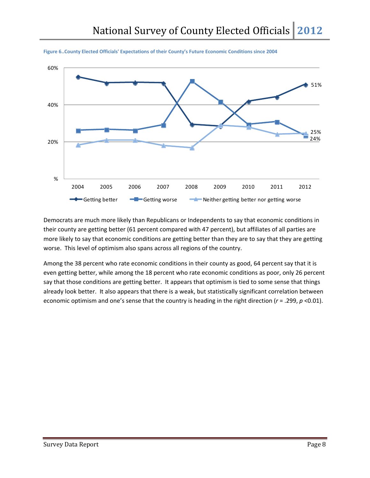



Democrats are much more likely than Republicans or Independents to say that economic conditions in their county are getting better (61 percent compared with 47 percent), but affiliates of all parties are more likely to say that economic conditions are getting better than they are to say that they are getting worse. This level of optimism also spans across all regions of the country.

Among the 38 percent who rate economic conditions in their county as good, 64 percent say that it is even getting better, while among the 18 percent who rate economic conditions as poor, only 26 percent say that those conditions are getting better. It appears that optimism is tied to some sense that things already look better. It also appears that there is a weak, but statistically significant correlation between economic optimism and one's sense that the country is heading in the right direction (*r* = .299, *p* <0.01).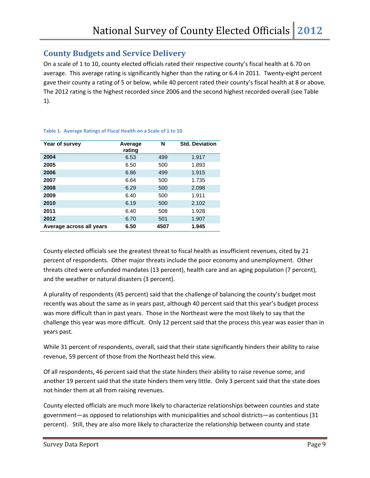## **County Budgets and Service Delivery**

On a scale of 1 to 10, county elected officials rated their respective county's fiscal health at 6.70 on average. This average rating is significantly higher than the rating or 6.4 in 2011. Twenty‐eight percent gave their county a rating of 5 or below, while 40 percent rated their county's fiscal health at 8 or above. The 2012 rating is the highest recorded since 2006 and the second highest recorded overall (see Table 1).

| Year of survey           | Average<br>rating | N    | <b>Std. Deviation</b> |
|--------------------------|-------------------|------|-----------------------|
| 2004                     | 6.53              | 499  | 1.917                 |
| 2005                     | 6.50              | 500  | 1.893                 |
| 2006                     | 6.86              | 499  | 1.915                 |
| 2007                     | 6.64              | 500  | 1.735                 |
| 2008                     | 6.29              | 500  | 2.098                 |
| 2009                     | 6.40              | 500  | 1.911                 |
| 2010                     | 6.19              | 500  | 2.102                 |
| 2011                     | 6.40              | 508  | 1.928                 |
| 2012                     | 6.70              | 501  | 1.907                 |
| Average across all years | 6.50              | 4507 | 1.945                 |

#### **Table 1. Average Ratings of Fiscal Health on a Scale of 1 to 10**

County elected officials see the greatest threat to fiscal health as insufficient revenues, cited by 21 percent of respondents. Other major threats include the poor economy and unemployment. Other threats cited were unfunded mandates (13 percent), health care and an aging population (7 percent), and the weather or natural disasters (3 percent).

A plurality of respondents (45 percent) said that the challenge of balancing the county's budget most recently was about the same as in years past, although 40 percent said that this year's budget process was more difficult than in past years. Those in the Northeast were the most likely to say that the challenge this year was more difficult. Only 12 percent said that the process this year was easier than in years past.

While 31 percent of respondents, overall, said that their state significantly hinders their ability to raise revenue, 59 percent of those from the Northeast held this view.

Of all respondents, 46 percent said that the state hinders their ability to raise revenue some, and another 19 percent said that the state hinders them very little. Only 3 percent said that the state does not hinder them at all from raising revenues.

County elected officials are much more likely to characterize relationships between counties and state government—as opposed to relationships with municipalities and school districts—as contentious (31 percent). Still, they are also more likely to characterize the relationship between county and state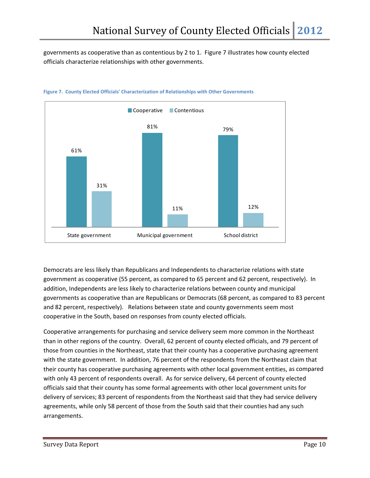governments as cooperative than as contentious by 2 to 1. Figure 7 illustrates how county elected officials characterize relationships with other governments.



#### **Figure 7. County Elected Officials' Characterization of Relationships with Other Governments**

Democrats are less likely than Republicans and Independents to characterize relations with state government as cooperative (55 percent, as compared to 65 percent and 62 percent, respectively). In addition, Independents are less likely to characterize relations between county and municipal governments as cooperative than are Republicans or Democrats (68 percent, as compared to 83 percent and 82 percent, respectively). Relations between state and county governments seem most cooperative in the South, based on responses from county elected officials.

Cooperative arrangements for purchasing and service delivery seem more common in the Northeast than in other regions of the country. Overall, 62 percent of county elected officials, and 79 percent of those from counties in the Northeast, state that their county has a cooperative purchasing agreement with the state government. In addition, 76 percent of the respondents from the Northeast claim that their county has cooperative purchasing agreements with other local government entities, as compared with only 43 percent of respondents overall. As for service delivery, 64 percent of county elected officials said that their county has some formal agreements with other local government units for delivery of services; 83 percent of respondents from the Northeast said that they had service delivery agreements, while only 58 percent of those from the South said that their counties had any such arrangements.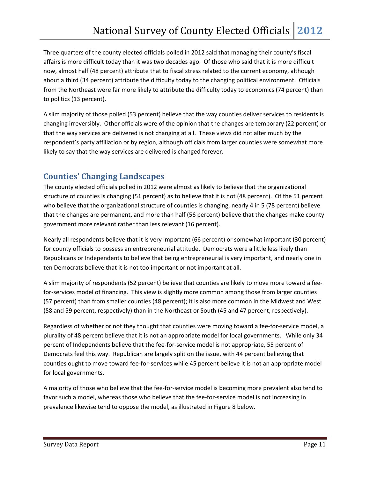Three quarters of the county elected officials polled in 2012 said that managing their county's fiscal affairs is more difficult today than it was two decades ago. Of those who said that it is more difficult now, almost half (48 percent) attribute that to fiscal stress related to the current economy, although about a third (34 percent) attribute the difficulty today to the changing political environment. Officials from the Northeast were far more likely to attribute the difficulty today to economics (74 percent) than to politics (13 percent).

A slim majority of those polled (53 percent) believe that the way counties deliver services to residents is changing irreversibly. Other officials were of the opinion that the changes are temporary (22 percent) or that the way services are delivered is not changing at all. These views did not alter much by the respondent's party affiliation or by region, although officials from larger counties were somewhat more likely to say that the way services are delivered is changed forever.

## **Counties' Changing Landscapes**

The county elected officials polled in 2012 were almost as likely to believe that the organizational structure of counties is changing (51 percent) as to believe that it is not (48 percent). Of the 51 percent who believe that the organizational structure of counties is changing, nearly 4 in 5 (78 percent) believe that the changes are permanent, and more than half (56 percent) believe that the changes make county government more relevant rather than less relevant (16 percent).

Nearly all respondents believe that it is very important (66 percent) or somewhat important (30 percent) for county officials to possess an entrepreneurial attitude. Democrats were a little less likely than Republicans or Independents to believe that being entrepreneurial is very important, and nearly one in ten Democrats believe that it is not too important or not important at all.

A slim majority of respondents (52 percent) believe that counties are likely to move more toward a fee‐ for-services model of financing. This view is slightly more common among those from larger counties (57 percent) than from smaller counties (48 percent); it is also more common in the Midwest and West (58 and 59 percent, respectively) than in the Northeast or South (45 and 47 percent, respectively).

Regardless of whether or not they thought that counties were moving toward a fee‐for‐service model, a plurality of 48 percent believe that it is not an appropriate model for local governments. While only 34 percent of Independents believe that the fee-for-service model is not appropriate, 55 percent of Democrats feel this way. Republican are largely split on the issue, with 44 percent believing that counties ought to move toward fee-for-services while 45 percent believe it is not an appropriate model for local governments.

A majority of those who believe that the fee‐for‐service model is becoming more prevalent also tend to favor such a model, whereas those who believe that the fee-for-service model is not increasing in prevalence likewise tend to oppose the model, as illustrated in Figure 8 below.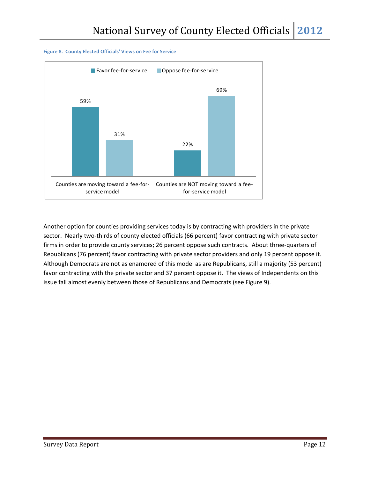

#### **Figure 8. County Elected Officials' Views on Fee for Service**

Another option for counties providing services today is by contracting with providers in the private sector. Nearly two-thirds of county elected officials (66 percent) favor contracting with private sector firms in order to provide county services; 26 percent oppose such contracts. About three-quarters of Republicans (76 percent) favor contracting with private sector providers and only 19 percent oppose it. Although Democrats are not as enamored of this model as are Republicans, still a majority (53 percent) favor contracting with the private sector and 37 percent oppose it. The views of Independents on this issue fall almost evenly between those of Republicans and Democrats (see Figure 9).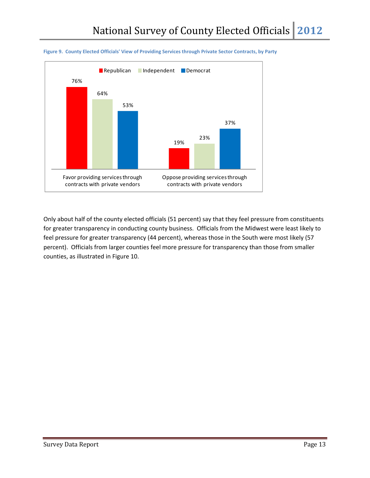



Only about half of the county elected officials (51 percent) say that they feel pressure from constituents for greater transparency in conducting county business. Officials from the Midwest were least likely to feel pressure for greater transparency (44 percent), whereas those in the South were most likely (57 percent). Officials from larger counties feel more pressure for transparency than those from smaller counties, as illustrated in Figure 10.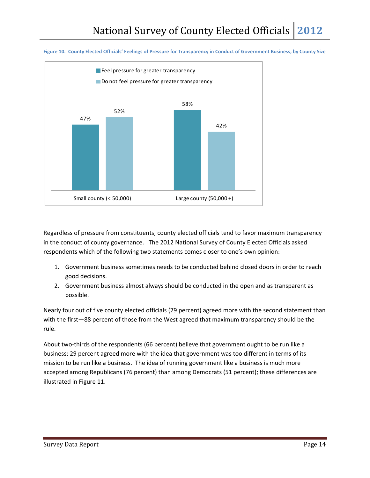



Regardless of pressure from constituents, county elected officials tend to favor maximum transparency in the conduct of county governance. The 2012 National Survey of County Elected Officials asked respondents which of the following two statements comes closer to one's own opinion:

- 1. Government business sometimes needs to be conducted behind closed doors in order to reach good decisions.
- 2. Government business almost always should be conducted in the open and as transparent as possible.

Nearly four out of five county elected officials (79 percent) agreed more with the second statement than with the first—88 percent of those from the West agreed that maximum transparency should be the rule.

About two‐thirds of the respondents (66 percent) believe that government ought to be run like a business; 29 percent agreed more with the idea that government was too different in terms of its mission to be run like a business. The idea of running government like a business is much more accepted among Republicans (76 percent) than among Democrats (51 percent); these differences are illustrated in Figure 11.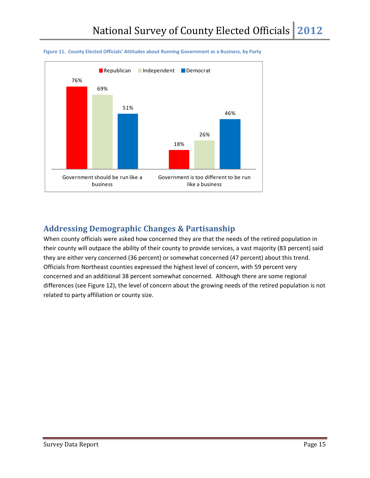

#### **Figure 11. County Elected Officials' Attitudes about Running Government as a Business, by Party**

## **Addressing Demographic Changes & Partisanship**

When county officials were asked how concerned they are that the needs of the retired population in their county will outpace the ability of their county to provide services, a vast majority (83 percent) said they are either very concerned (36 percent) or somewhat concerned (47 percent) about this trend. Officials from Northeast counties expressed the highest level of concern, with 59 percent very concerned and an additional 38 percent somewhat concerned. Although there are some regional differences (see Figure 12), the level of concern about the growing needs of the retired population is not related to party affiliation or county size.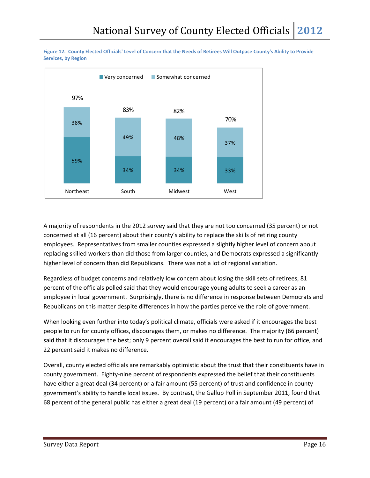



A majority of respondents in the 2012 survey said that they are not too concerned (35 percent) or not concerned at all (16 percent) about their county's ability to replace the skills of retiring county employees. Representatives from smaller counties expressed a slightly higher level of concern about replacing skilled workers than did those from larger counties, and Democrats expressed a significantly higher level of concern than did Republicans. There was not a lot of regional variation.

Regardless of budget concerns and relatively low concern about losing the skill sets of retirees, 81 percent of the officials polled said that they would encourage young adults to seek a career as an employee in local government. Surprisingly, there is no difference in response between Democrats and Republicans on this matter despite differences in how the parties perceive the role of government.

When looking even further into today's political climate, officials were asked if it encourages the best people to run for county offices, discourages them, or makes no difference. The majority (66 percent) said that it discourages the best; only 9 percent overall said it encourages the best to run for office, and 22 percent said it makes no difference.

Overall, county elected officials are remarkably optimistic about the trust that their constituents have in county government. Eighty-nine percent of respondents expressed the belief that their constituents have either a great deal (34 percent) or a fair amount (55 percent) of trust and confidence in county government's ability to handle local issues. By contrast, the Gallup Poll in September 2011, found that 68 percent of the general public has either a great deal (19 percent) or a fair amount (49 percent) of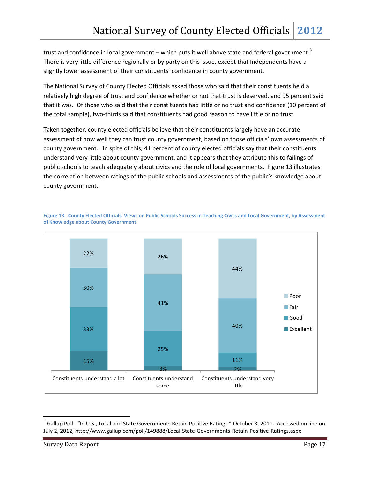trust and confidence in local government – which puts it well above state and federal government.<sup>3</sup> There is very little difference regionally or by party on this issue, except that Independents have a slightly lower assessment of their constituents' confidence in county government.

The National Survey of County Elected Officials asked those who said that their constituents held a relatively high degree of trust and confidence whether or not that trust is deserved, and 95 percent said that it was. Of those who said that their constituents had little or no trust and confidence (10 percent of the total sample), two‐thirds said that constituents had good reason to have little or no trust.

Taken together, county elected officials believe that their constituents largely have an accurate assessment of how well they can trust county government, based on those officials' own assessments of county government. In spite of this, 41 percent of county elected officials say that their constituents understand very little about county government, and it appears that they attribute this to failings of public schools to teach adequately about civics and the role of local governments. Figure 13 illustrates the correlation between ratings of the public schools and assessments of the public's knowledge about county government.



Figure 13. County Elected Officials' Views on Public Schools Success in Teaching Civics and Local Government, by Assessment **of Knowledge about County Government**

<sup>&</sup>lt;sup>3</sup> Gallup Poll. "In U.S., Local and State Governments Retain Positive Ratings." October 3, 2011. Accessed on line on July 2, 2012, http://www.gallup.com/poll/149888/Local‐State‐Governments‐Retain‐Positive‐Ratings.aspx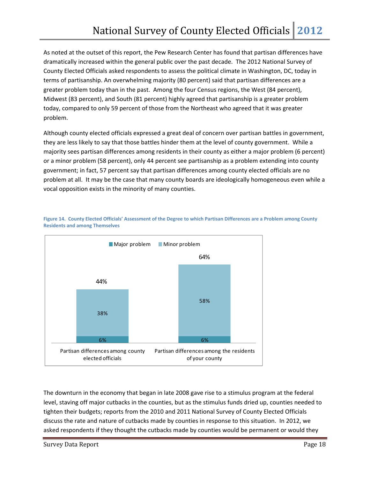As noted at the outset of this report, the Pew Research Center has found that partisan differences have dramatically increased within the general public over the past decade. The 2012 National Survey of County Elected Officials asked respondents to assess the political climate in Washington, DC, today in terms of partisanship. An overwhelming majority (80 percent) said that partisan differences are a greater problem today than in the past. Among the four Census regions, the West (84 percent), Midwest (83 percent), and South (81 percent) highly agreed that partisanship is a greater problem today, compared to only 59 percent of those from the Northeast who agreed that it was greater problem.

Although county elected officials expressed a great deal of concern over partisan battles in government, they are less likely to say that those battles hinder them at the level of county government. While a majority sees partisan differences among residents in their county as either a major problem (6 percent) or a minor problem (58 percent), only 44 percent see partisanship as a problem extending into county government; in fact, 57 percent say that partisan differences among county elected officials are no problem at all. It may be the case that many county boards are ideologically homogeneous even while a vocal opposition exists in the minority of many counties.



Figure 14. County Elected Officials' Assessment of the Degree to which Partisan Differences are a Problem among County **Residents and among Themselves**

The downturn in the economy that began in late 2008 gave rise to a stimulus program at the federal level, staving off major cutbacks in the counties, but as the stimulus funds dried up, counties needed to tighten their budgets; reports from the 2010 and 2011 National Survey of County Elected Officials discuss the rate and nature of cutbacks made by counties in response to this situation. In 2012, we asked respondents if they thought the cutbacks made by counties would be permanent or would they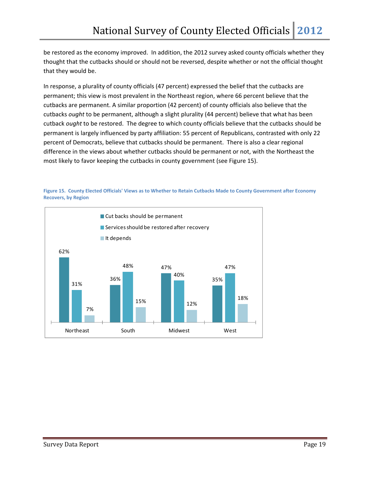be restored as the economy improved. In addition, the 2012 survey asked county officials whether they thought that the cutbacks should or should not be reversed, despite whether or not the official thought that they would be.

In response, a plurality of county officials (47 percent) expressed the belief that the cutbacks are permanent; this view is most prevalent in the Northeast region, where 66 percent believe that the cutbacks are permanent. A similar proportion (42 percent) of county officials also believe that the cutbacks *ought* to be permanent, although a slight plurality (44 percent) believe that what has been cutback *ought* to be restored. The degree to which county officials believe that the cutbacks should be permanent is largely influenced by party affiliation: 55 percent of Republicans, contrasted with only 22 percent of Democrats, believe that cutbacks should be permanent. There is also a clear regional difference in the views about whether cutbacks should be permanent or not, with the Northeast the most likely to favor keeping the cutbacks in county government (see Figure 15).



Figure 15. County Elected Officials' Views as to Whether to Retain Cutbacks Made to County Government after Economy **Recovers, by Region**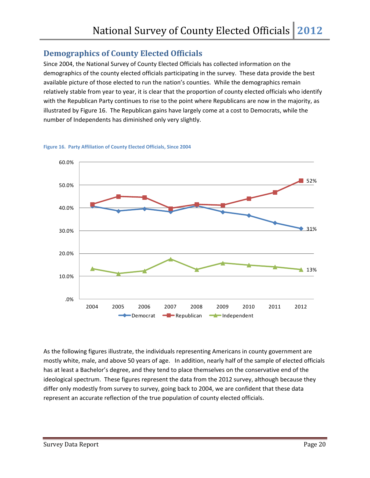## **Demographics of County Elected Officials**

Since 2004, the National Survey of County Elected Officials has collected information on the demographics of the county elected officials participating in the survey. These data provide the best available picture of those elected to run the nation's counties. While the demographics remain relatively stable from year to year, it is clear that the proportion of county elected officials who identify with the Republican Party continues to rise to the point where Republicans are now in the majority, as illustrated by Figure 16. The Republican gains have largely come at a cost to Democrats, while the number of Independents has diminished only very slightly.





As the following figures illustrate, the individuals representing Americans in county government are mostly white, male, and above 50 years of age. In addition, nearly half of the sample of elected officials has at least a Bachelor's degree, and they tend to place themselves on the conservative end of the ideological spectrum. These figures represent the data from the 2012 survey, although because they differ only modestly from survey to survey, going back to 2004, we are confident that these data represent an accurate reflection of the true population of county elected officials.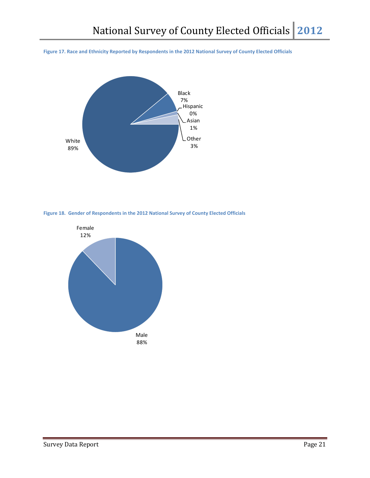Figure 17. Race and Ethnicity Reported by Respondents in the 2012 National Survey of County Elected Officials





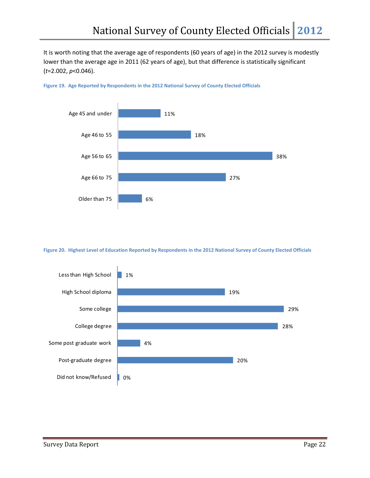It is worth noting that the average age of respondents (60 years of age) in the 2012 survey is modestly lower than the average age in 2011 (62 years of age), but that difference is statistically significant (*t*=2.002, *p*<0.046).



**Figure 19. Age Reported by Respondents in the 2012 National Survey of County Elected Officials**

Figure 20. Highest Level of Education Reported by Respondents in the 2012 National Survey of County Elected Officials

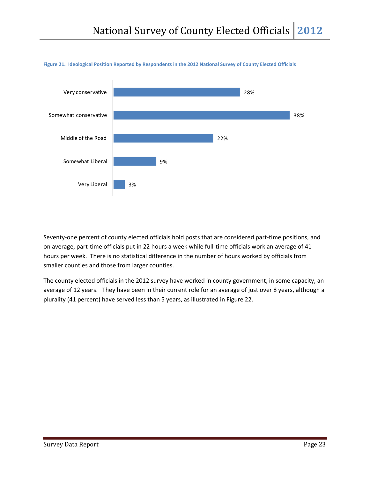

#### Figure 21. Ideological Position Reported by Respondents in the 2012 National Survey of County Elected Officials

Seventy-one percent of county elected officials hold posts that are considered part-time positions, and on average, part-time officials put in 22 hours a week while full-time officials work an average of 41 hours per week. There is no statistical difference in the number of hours worked by officials from smaller counties and those from larger counties.

The county elected officials in the 2012 survey have worked in county government, in some capacity, an average of 12 years. They have been in their current role for an average of just over 8 years, although a plurality (41 percent) have served less than 5 years, as illustrated in Figure 22.